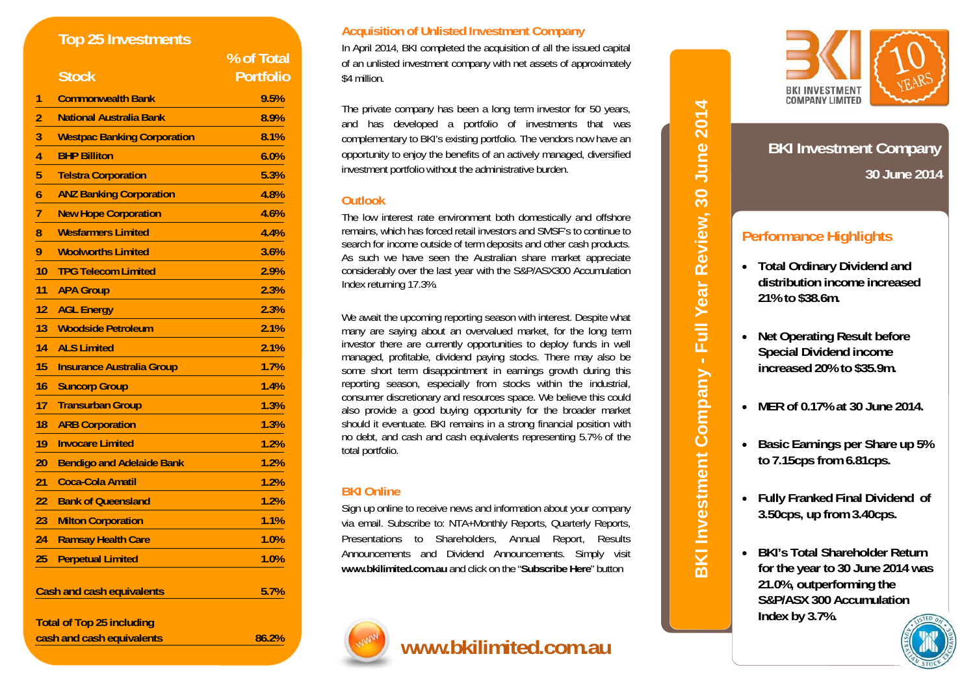|                                  | <b>Top 25 Investments</b>          |                  |
|----------------------------------|------------------------------------|------------------|
|                                  |                                    | % of Total       |
|                                  | <b>Stock</b>                       | <b>Portfolio</b> |
| 1                                | <b>Commonwealth Bank</b>           | 9.5%             |
| $\overline{\mathbf{c}}$          | <b>National Australia Bank</b>     | 8.9%             |
| $\frac{1}{4}$                    | <b>Westpac Banking Corporation</b> | 8.1%             |
|                                  | <b>BHP Billiton</b>                | 6.0%             |
| 5                                | <b>Telstra Corporation</b>         | 5.3%             |
| 6                                | <b>ANZ Banking Corporation</b>     | 4.8%             |
| $\overline{1}$                   | <b>New Hope Corporation</b>        | 4.6%             |
| 8                                | <b>Wesfarmers Limited</b>          | 4.4%             |
| 9                                | <b>Woolworths Limited</b>          | 3.6%             |
| 10                               | <b>TPG Telecom Limited</b>         | 2.9%             |
| 11                               | <b>APA Group</b>                   | 2.3%             |
| 12                               | <b>AGL Energy</b>                  | 2.3%             |
| 13                               | <b>Woodside Petroleum</b>          | 2.1%             |
| 14                               | <b>ALS Limited</b>                 | 2.1%             |
| 15                               | <b>Insurance Australia Group</b>   | 1.7%             |
| 16                               | <b>Suncorp Group</b>               | 1.4%             |
| 17                               | <b>Transurban Group</b>            | 1.3%             |
| 18                               | <b>ARB Corporation</b>             | 1.3%             |
| 19                               | <b>Invocare Limited</b>            | 1.2%             |
| 20                               | <b>Bendigo and Adelaide Bank</b>   | 1.2%             |
| 21                               | <b>Coca-Cola Amatil</b>            | 1.2%             |
| 22                               | <b>Bank of Queensland</b>          | 1.2%             |
| 23                               | <b>Milton Corporation</b>          | 1.1%             |
| 24                               | <b>Ramsay Health Care</b>          | 1.0%             |
| 25                               | <b>Perpetual Limited</b>           | 1.0%             |
| <b>Cash and cash equivalents</b> |                                    | 5.7%             |
|                                  | <b>Total of Top 25 including</b>   |                  |
| cash and cash equivalents        |                                    | 86.2%            |

### **Acquisition of Unlisted Investment Company**

In April 2014, BKI completed the acquisition of all the issued capital of an unlisted investment company with net assets of approximately \$4 million.

The private company has been a long term investor for 50 years, and has developed a portfolio of investments that was complementary to BKI's existing portfolio. The vendors now have an opportunity to enjoy the benefits of an actively managed, diversified investment portfolio without the administrative burden.

## **Outlook**

The low interest rate environment both domestically and offshore remains, which has forced retail investors and SMSF's to continue to search for income outside of term deposits and other cash products. As such we have seen the Australian share market appreciate considerably over the last year with the S&P/ASX300 Accumulation Index returning 17.3%.

We await the upcoming reporting season with interest. Despite what many are saying about an overvalued market, for the long term investor there are currently opportunities to deploy funds in well managed, profitable, dividend paying stocks. There may also be some short term disappointment in earnings growth during this reporting season, especially from stocks within the industrial, consumer discretionary and resources space. We believe this could also provide a good buying opportunity for the broader market should it eventuate. BKI remains in a strong financial position with no debt, and cash and cash equivalents representing 5.7% of the total portfolio.

## **BKI Online**

Sign up online to receive news and information about your company via email. Subscribe to: NTA+Monthly Reports, Quarterly Reports, Presentations to Shareholders, Annual Report, Results Announcements and Dividend Announcements. Simply visit **www.bkilimited.com.au** and click on the "**Subscribe Here**" button



# **www.bkilimited.com.au**



## **30 June 2014 BKI Investment Company**

## **Performance Highlights**

- **Total Ordinary Dividend and distribution income increased 21% to \$38.6m.**
- **Net Operating Result before Special Dividend income increased 20% to \$35.9m.**

**BKI Investment Company - Full Year Review, 30 June 2014** 

BKI Investment Company - Full Year Review, 30 June 2014

- **MER of 0.17% at 30 June 2014.**
- **Basic Earnings per Share up 5% to 7.15cps from 6.81cps.**
- **Fully Franked Final Dividend of 3.50cps, up from 3.40cps.**
- **BKI's Total Shareholder Return for the year to 30 June 2014 was 21.0%, outperforming the S&P/ASX 300 Accumulation Index by 3.7%.**